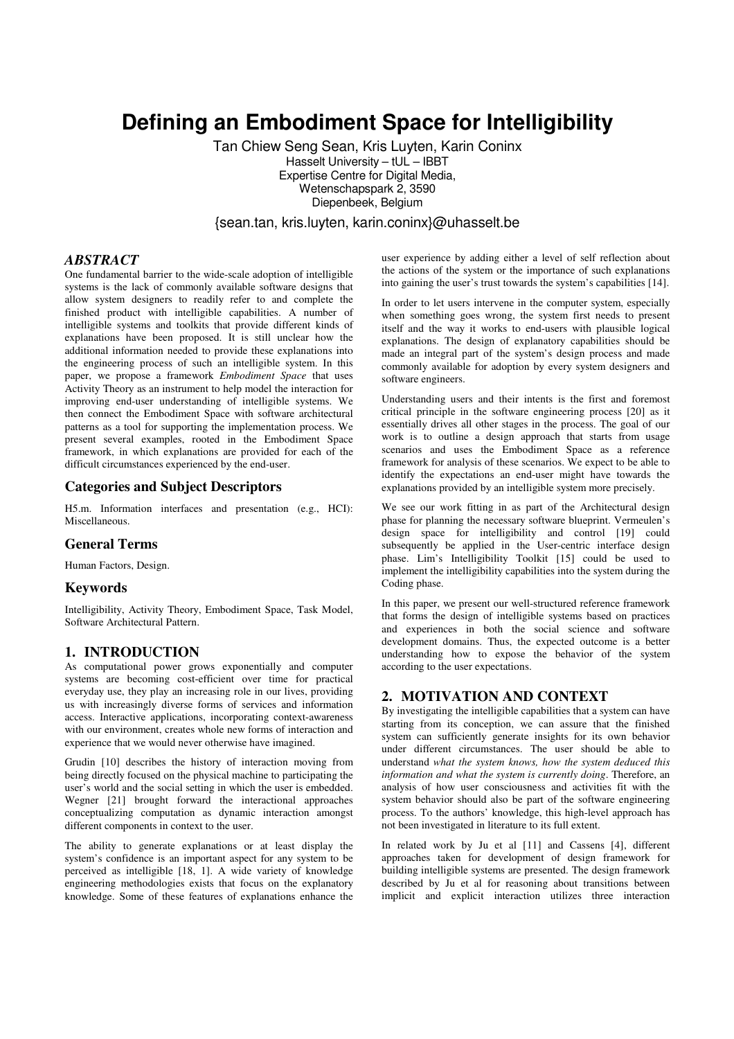# **Defining an Embodiment Space for Intelligibility**

Tan Chiew Seng Sean, Kris Luyten, Karin Coninx Hasselt University – tUL – IBBT Expertise Centre for Digital Media, Wetenschapspark 2, 3590 Diepenbeek, Belgium

{sean.tan, kris.luyten, karin.coninx}@uhasselt.be

## *ABSTRACT*

One fundamental barrier to the wide-scale adoption of intelligible systems is the lack of commonly available software designs that allow system designers to readily refer to and complete the finished product with intelligible capabilities. A number of intelligible systems and toolkits that provide different kinds of explanations have been proposed. It is still unclear how the additional information needed to provide these explanations into the engineering process of such an intelligible system. In this paper, we propose a framework *Embodiment Space* that uses Activity Theory as an instrument to help model the interaction for improving end-user understanding of intelligible systems. We then connect the Embodiment Space with software architectural patterns as a tool for supporting the implementation process. We present several examples, rooted in the Embodiment Space framework, in which explanations are provided for each of the difficult circumstances experienced by the end-user.

# **Categories and Subject Descriptors**

H5.m. Information interfaces and presentation (e.g., HCI): Miscellaneous.

#### **General Terms**

Human Factors, Design.

## **Keywords**

Intelligibility, Activity Theory, Embodiment Space, Task Model, Software Architectural Pattern.

# **1. INTRODUCTION**

As computational power grows exponentially and computer systems are becoming cost-efficient over time for practical everyday use, they play an increasing role in our lives, providing us with increasingly diverse forms of services and information access. Interactive applications, incorporating context-awareness with our environment, creates whole new forms of interaction and experience that we would never otherwise have imagined.

Grudin [10] describes the history of interaction moving from being directly focused on the physical machine to participating the user's world and the social setting in which the user is embedded. Wegner [21] brought forward the interactional approaches conceptualizing computation as dynamic interaction amongst different components in context to the user.

The ability to generate explanations or at least display the system's confidence is an important aspect for any system to be perceived as intelligible [18, 1]. A wide variety of knowledge engineering methodologies exists that focus on the explanatory knowledge. Some of these features of explanations enhance the user experience by adding either a level of self reflection about the actions of the system or the importance of such explanations into gaining the user's trust towards the system's capabilities [14].

In order to let users intervene in the computer system, especially when something goes wrong, the system first needs to present itself and the way it works to end-users with plausible logical explanations. The design of explanatory capabilities should be made an integral part of the system's design process and made commonly available for adoption by every system designers and software engineers.

Understanding users and their intents is the first and foremost critical principle in the software engineering process [20] as it essentially drives all other stages in the process. The goal of our work is to outline a design approach that starts from usage scenarios and uses the Embodiment Space as a reference framework for analysis of these scenarios. We expect to be able to identify the expectations an end-user might have towards the explanations provided by an intelligible system more precisely.

We see our work fitting in as part of the Architectural design phase for planning the necessary software blueprint. Vermeulen's design space for intelligibility and control [19] could subsequently be applied in the User-centric interface design phase. Lim's Intelligibility Toolkit [15] could be used to implement the intelligibility capabilities into the system during the Coding phase.

In this paper, we present our well-structured reference framework that forms the design of intelligible systems based on practices and experiences in both the social science and software development domains. Thus, the expected outcome is a better understanding how to expose the behavior of the system according to the user expectations.

## **2. MOTIVATION AND CONTEXT**

By investigating the intelligible capabilities that a system can have starting from its conception, we can assure that the finished system can sufficiently generate insights for its own behavior under different circumstances. The user should be able to understand *what the system knows, how the system deduced this information and what the system is currently doing*. Therefore, an analysis of how user consciousness and activities fit with the system behavior should also be part of the software engineering process. To the authors' knowledge, this high-level approach has not been investigated in literature to its full extent.

In related work by Ju et al [11] and Cassens [4], different approaches taken for development of design framework for building intelligible systems are presented. The design framework described by Ju et al for reasoning about transitions between implicit and explicit interaction utilizes three interaction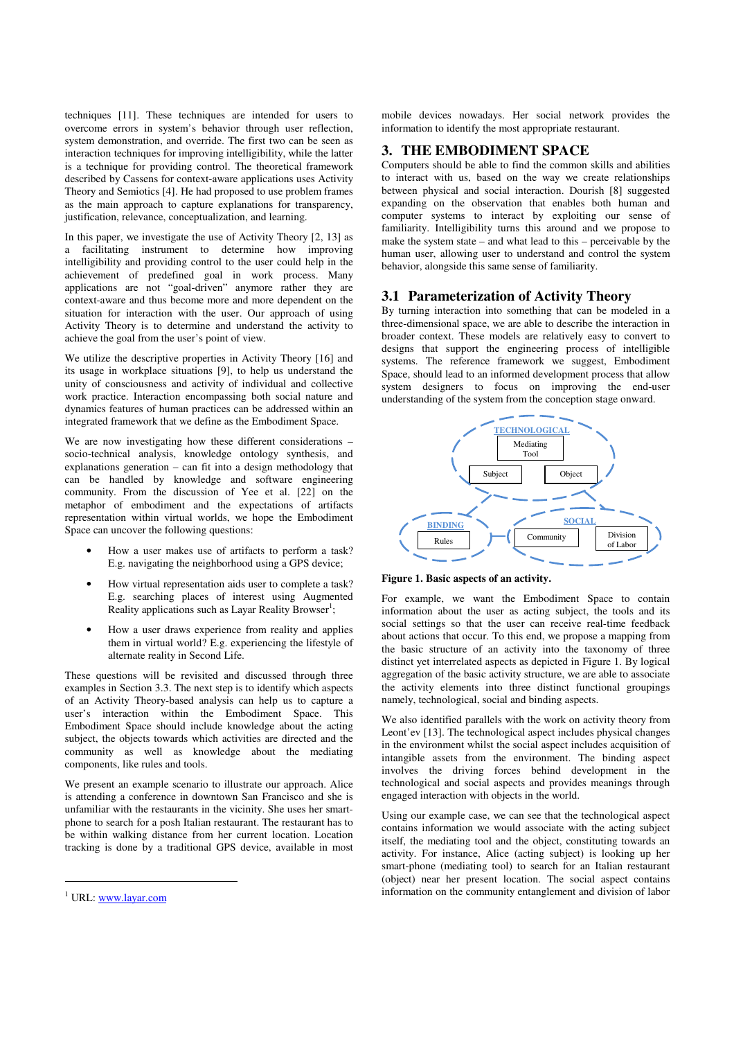techniques [11]. These techniques are intended for users to overcome errors in system's behavior through user reflection, system demonstration, and override. The first two can be seen as interaction techniques for improving intelligibility, while the latter is a technique for providing control. The theoretical framework described by Cassens for context-aware applications uses Activity Theory and Semiotics [4]. He had proposed to use problem frames as the main approach to capture explanations for transparency, justification, relevance, conceptualization, and learning.

In this paper, we investigate the use of Activity Theory [2, 13] as a facilitating instrument to determine how improving intelligibility and providing control to the user could help in the achievement of predefined goal in work process. Many applications are not "goal-driven" anymore rather they are context-aware and thus become more and more dependent on the situation for interaction with the user. Our approach of using Activity Theory is to determine and understand the activity to achieve the goal from the user's point of view.

We utilize the descriptive properties in Activity Theory [16] and its usage in workplace situations [9], to help us understand the unity of consciousness and activity of individual and collective work practice. Interaction encompassing both social nature and dynamics features of human practices can be addressed within an integrated framework that we define as the Embodiment Space.

We are now investigating how these different considerations – socio-technical analysis, knowledge ontology synthesis, and explanations generation – can fit into a design methodology that can be handled by knowledge and software engineering community. From the discussion of Yee et al. [22] on the metaphor of embodiment and the expectations of artifacts representation within virtual worlds, we hope the Embodiment Space can uncover the following questions:

- How a user makes use of artifacts to perform a task? E.g. navigating the neighborhood using a GPS device;
- How virtual representation aids user to complete a task? E.g. searching places of interest using Augmented Reality applications such as Layar Reality Browser<sup>1</sup>;
- How a user draws experience from reality and applies them in virtual world? E.g. experiencing the lifestyle of alternate reality in Second Life.

These questions will be revisited and discussed through three examples in Section 3.3. The next step is to identify which aspects of an Activity Theory-based analysis can help us to capture a user's interaction within the Embodiment Space. This Embodiment Space should include knowledge about the acting subject, the objects towards which activities are directed and the community as well as knowledge about the mediating components, like rules and tools.

We present an example scenario to illustrate our approach. Alice is attending a conference in downtown San Francisco and she is unfamiliar with the restaurants in the vicinity. She uses her smartphone to search for a posh Italian restaurant. The restaurant has to be within walking distance from her current location. Location tracking is done by a traditional GPS device, available in most

j

mobile devices nowadays. Her social network provides the information to identify the most appropriate restaurant.

## **3. THE EMBODIMENT SPACE**

Computers should be able to find the common skills and abilities to interact with us, based on the way we create relationships between physical and social interaction. Dourish [8] suggested expanding on the observation that enables both human and computer systems to interact by exploiting our sense of familiarity. Intelligibility turns this around and we propose to make the system state – and what lead to this – perceivable by the human user, allowing user to understand and control the system behavior, alongside this same sense of familiarity.

#### **3.1 Parameterization of Activity Theory**

By turning interaction into something that can be modeled in a three-dimensional space, we are able to describe the interaction in broader context. These models are relatively easy to convert to designs that support the engineering process of intelligible systems. The reference framework we suggest, Embodiment Space, should lead to an informed development process that allow system designers to focus on improving the end-user understanding of the system from the conception stage onward.





For example, we want the Embodiment Space to contain information about the user as acting subject, the tools and its social settings so that the user can receive real-time feedback about actions that occur. To this end, we propose a mapping from the basic structure of an activity into the taxonomy of three distinct yet interrelated aspects as depicted in Figure 1. By logical aggregation of the basic activity structure, we are able to associate the activity elements into three distinct functional groupings namely, technological, social and binding aspects.

We also identified parallels with the work on activity theory from Leont'ev [13]. The technological aspect includes physical changes in the environment whilst the social aspect includes acquisition of intangible assets from the environment. The binding aspect involves the driving forces behind development in the technological and social aspects and provides meanings through engaged interaction with objects in the world.

Using our example case, we can see that the technological aspect contains information we would associate with the acting subject itself, the mediating tool and the object, constituting towards an activity. For instance, Alice (acting subject) is looking up her smart-phone (mediating tool) to search for an Italian restaurant (object) near her present location. The social aspect contains information on the community entanglement and division of labor

<sup>&</sup>lt;sup>1</sup> URL: www.layar.com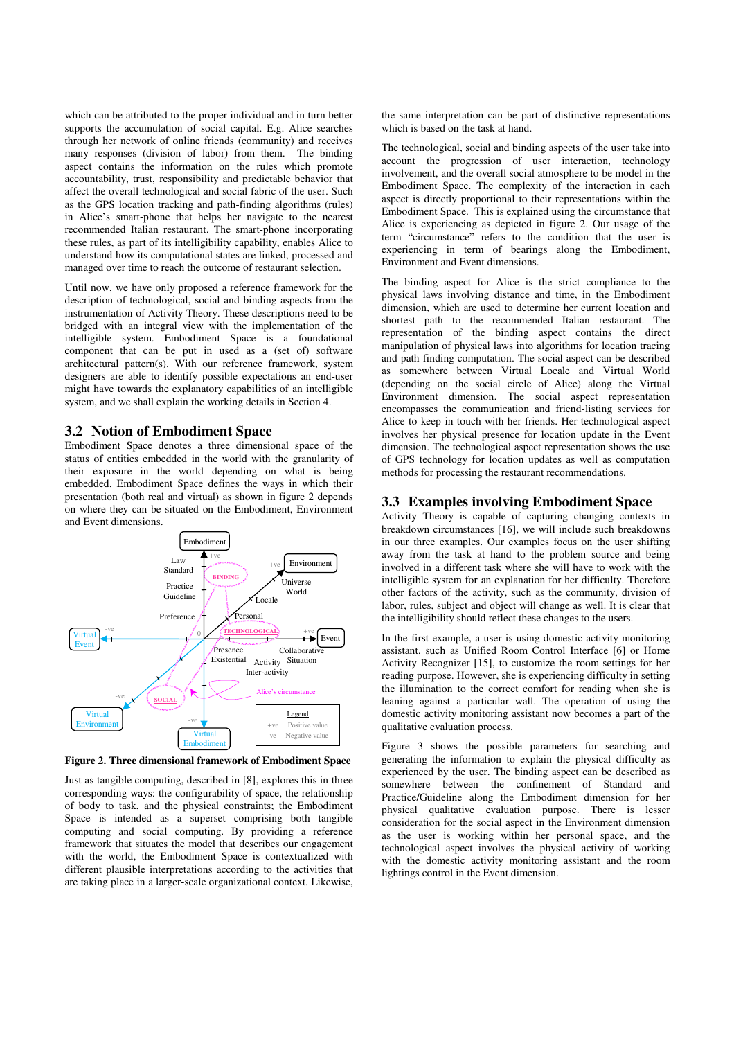which can be attributed to the proper individual and in turn better supports the accumulation of social capital. E.g. Alice searches through her network of online friends (community) and receives many responses (division of labor) from them. The binding aspect contains the information on the rules which promote accountability, trust, responsibility and predictable behavior that affect the overall technological and social fabric of the user. Such as the GPS location tracking and path-finding algorithms (rules) in Alice's smart-phone that helps her navigate to the nearest recommended Italian restaurant. The smart-phone incorporating these rules, as part of its intelligibility capability, enables Alice to understand how its computational states are linked, processed and managed over time to reach the outcome of restaurant selection.

Until now, we have only proposed a reference framework for the description of technological, social and binding aspects from the instrumentation of Activity Theory. These descriptions need to be bridged with an integral view with the implementation of the intelligible system. Embodiment Space is a foundational component that can be put in used as a (set of) software architectural pattern(s). With our reference framework, system designers are able to identify possible expectations an end-user might have towards the explanatory capabilities of an intelligible system, and we shall explain the working details in Section 4.

#### **3.2 Notion of Embodiment Space**

Embodiment Space denotes a three dimensional space of the status of entities embedded in the world with the granularity of their exposure in the world depending on what is being embedded. Embodiment Space defines the ways in which their presentation (both real and virtual) as shown in figure 2 depends on where they can be situated on the Embodiment, Environment and Event dimensions.



**Figure 2. Three dimensional framework of Embodiment Space** 

Just as tangible computing, described in [8], explores this in three corresponding ways: the configurability of space, the relationship of body to task, and the physical constraints; the Embodiment Space is intended as a superset comprising both tangible computing and social computing. By providing a reference framework that situates the model that describes our engagement with the world, the Embodiment Space is contextualized with different plausible interpretations according to the activities that are taking place in a larger-scale organizational context. Likewise,

the same interpretation can be part of distinctive representations which is based on the task at hand.

The technological, social and binding aspects of the user take into account the progression of user interaction, technology involvement, and the overall social atmosphere to be model in the Embodiment Space. The complexity of the interaction in each aspect is directly proportional to their representations within the Embodiment Space. This is explained using the circumstance that Alice is experiencing as depicted in figure 2. Our usage of the term "circumstance" refers to the condition that the user is experiencing in term of bearings along the Embodiment, Environment and Event dimensions.

The binding aspect for Alice is the strict compliance to the physical laws involving distance and time, in the Embodiment dimension, which are used to determine her current location and shortest path to the recommended Italian restaurant. The representation of the binding aspect contains the direct manipulation of physical laws into algorithms for location tracing and path finding computation. The social aspect can be described as somewhere between Virtual Locale and Virtual World (depending on the social circle of Alice) along the Virtual Environment dimension. The social aspect representation encompasses the communication and friend-listing services for Alice to keep in touch with her friends. Her technological aspect involves her physical presence for location update in the Event dimension. The technological aspect representation shows the use of GPS technology for location updates as well as computation methods for processing the restaurant recommendations.

## **3.3 Examples involving Embodiment Space**

Activity Theory is capable of capturing changing contexts in breakdown circumstances [16], we will include such breakdowns in our three examples. Our examples focus on the user shifting away from the task at hand to the problem source and being involved in a different task where she will have to work with the intelligible system for an explanation for her difficulty. Therefore other factors of the activity, such as the community, division of labor, rules, subject and object will change as well. It is clear that the intelligibility should reflect these changes to the users.

In the first example, a user is using domestic activity monitoring assistant, such as Unified Room Control Interface [6] or Home Activity Recognizer [15], to customize the room settings for her reading purpose. However, she is experiencing difficulty in setting the illumination to the correct comfort for reading when she is leaning against a particular wall. The operation of using the domestic activity monitoring assistant now becomes a part of the qualitative evaluation process.

Figure 3 shows the possible parameters for searching and generating the information to explain the physical difficulty as experienced by the user. The binding aspect can be described as somewhere between the confinement of Standard and Practice/Guideline along the Embodiment dimension for her physical qualitative evaluation purpose. There is lesser consideration for the social aspect in the Environment dimension as the user is working within her personal space, and the technological aspect involves the physical activity of working with the domestic activity monitoring assistant and the room lightings control in the Event dimension.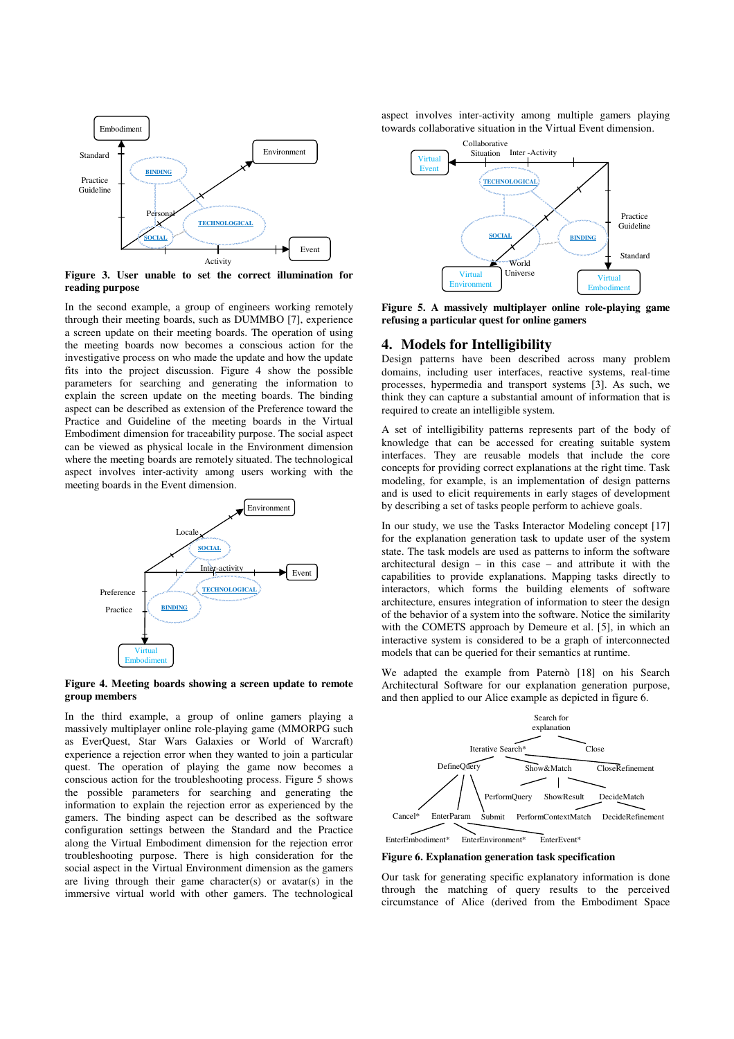

**Figure 3. User unable to set the correct illumination for reading purpose** 

In the second example, a group of engineers working remotely through their meeting boards, such as DUMMBO [7], experience a screen update on their meeting boards. The operation of using the meeting boards now becomes a conscious action for the investigative process on who made the update and how the update fits into the project discussion. Figure 4 show the possible parameters for searching and generating the information to explain the screen update on the meeting boards. The binding aspect can be described as extension of the Preference toward the Practice and Guideline of the meeting boards in the Virtual Embodiment dimension for traceability purpose. The social aspect can be viewed as physical locale in the Environment dimension where the meeting boards are remotely situated. The technological aspect involves inter-activity among users working with the meeting boards in the Event dimension.



**Figure 4. Meeting boards showing a screen update to remote group members** 

In the third example, a group of online gamers playing a massively multiplayer online role-playing game (MMORPG such as EverQuest, Star Wars Galaxies or World of Warcraft) experience a rejection error when they wanted to join a particular quest. The operation of playing the game now becomes a conscious action for the troubleshooting process. Figure 5 shows the possible parameters for searching and generating the information to explain the rejection error as experienced by the gamers. The binding aspect can be described as the software configuration settings between the Standard and the Practice along the Virtual Embodiment dimension for the rejection error troubleshooting purpose. There is high consideration for the social aspect in the Virtual Environment dimension as the gamers are living through their game character(s) or avatar(s) in the immersive virtual world with other gamers. The technological aspect involves inter-activity among multiple gamers playing towards collaborative situation in the Virtual Event dimension.



**Figure 5. A massively multiplayer online role-playing game refusing a particular quest for online gamers**

#### **4. Models for Intelligibility**

Design patterns have been described across many problem domains, including user interfaces, reactive systems, real-time processes, hypermedia and transport systems [3]. As such, we think they can capture a substantial amount of information that is required to create an intelligible system.

A set of intelligibility patterns represents part of the body of knowledge that can be accessed for creating suitable system interfaces. They are reusable models that include the core concepts for providing correct explanations at the right time. Task modeling, for example, is an implementation of design patterns and is used to elicit requirements in early stages of development by describing a set of tasks people perform to achieve goals.

In our study, we use the Tasks Interactor Modeling concept [17] for the explanation generation task to update user of the system state. The task models are used as patterns to inform the software architectural design – in this case – and attribute it with the capabilities to provide explanations. Mapping tasks directly to interactors, which forms the building elements of software architecture, ensures integration of information to steer the design of the behavior of a system into the software. Notice the similarity with the COMETS approach by Demeure et al. [5], in which an interactive system is considered to be a graph of interconnected models that can be queried for their semantics at runtime.

We adapted the example from Paternò [18] on his Search Architectural Software for our explanation generation purpose, and then applied to our Alice example as depicted in figure 6.



**Figure 6. Explanation generation task specification** 

Our task for generating specific explanatory information is done through the matching of query results to the perceived circumstance of Alice (derived from the Embodiment Space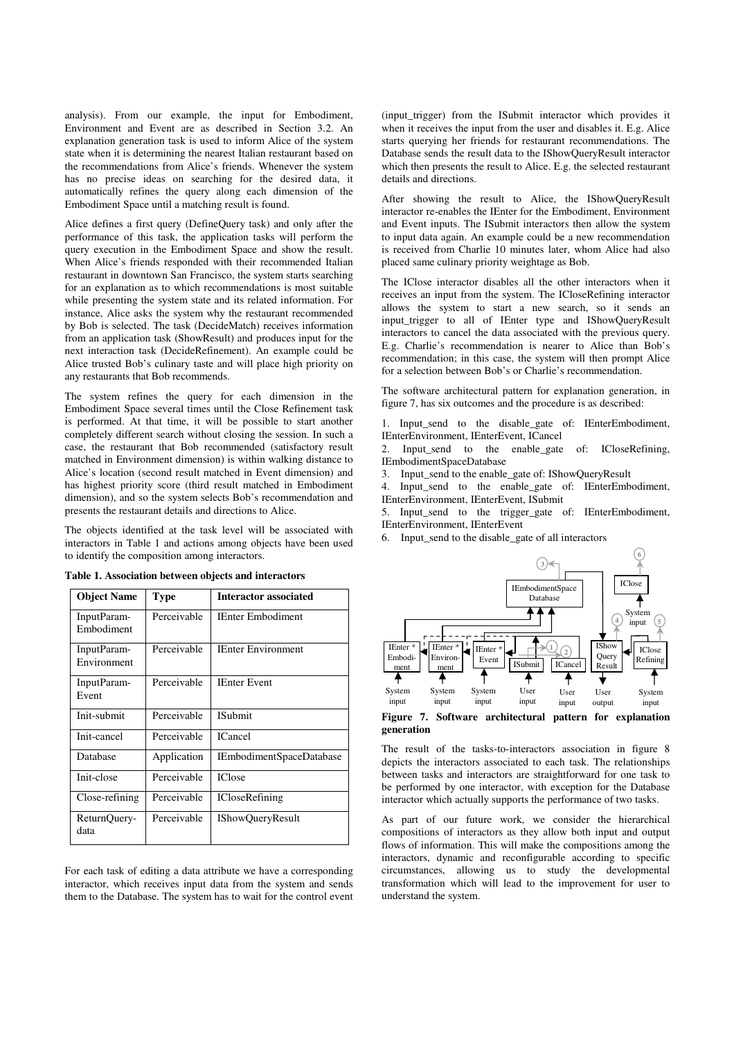analysis). From our example, the input for Embodiment, Environment and Event are as described in Section 3.2. An explanation generation task is used to inform Alice of the system state when it is determining the nearest Italian restaurant based on the recommendations from Alice's friends. Whenever the system has no precise ideas on searching for the desired data, it automatically refines the query along each dimension of the Embodiment Space until a matching result is found.

Alice defines a first query (DefineQuery task) and only after the performance of this task, the application tasks will perform the query execution in the Embodiment Space and show the result. When Alice's friends responded with their recommended Italian restaurant in downtown San Francisco, the system starts searching for an explanation as to which recommendations is most suitable while presenting the system state and its related information. For instance, Alice asks the system why the restaurant recommended by Bob is selected. The task (DecideMatch) receives information from an application task (ShowResult) and produces input for the next interaction task (DecideRefinement). An example could be Alice trusted Bob's culinary taste and will place high priority on any restaurants that Bob recommends.

The system refines the query for each dimension in the Embodiment Space several times until the Close Refinement task is performed. At that time, it will be possible to start another completely different search without closing the session. In such a case, the restaurant that Bob recommended (satisfactory result matched in Environment dimension) is within walking distance to Alice's location (second result matched in Event dimension) and has highest priority score (third result matched in Embodiment dimension), and so the system selects Bob's recommendation and presents the restaurant details and directions to Alice.

The objects identified at the task level will be associated with interactors in Table 1 and actions among objects have been used to identify the composition among interactors.

| <b>Object Name</b>         | <b>Type</b> | <b>Interactor associated</b> |
|----------------------------|-------------|------------------------------|
| InputParam-<br>Embodiment  | Perceivable | <b>IEnter Embodiment</b>     |
| InputParam-<br>Environment | Perceivable | <b>IEnter Environment</b>    |
| InputParam-<br>Event       | Perceivable | <b>IEnter Event</b>          |
| Init-submit                | Perceivable | <b>ISubmit</b>               |
| Init-cancel                | Perceivable | <b>ICancel</b>               |
| Database                   | Application | IEmbodimentSpaceDatabase     |
| Init-close                 | Perceivable | <b>IClose</b>                |
| Close-refining             | Perceivable | <b>ICloseRefining</b>        |
| ReturnQuery-<br>data       | Perceivable | <b>IShowQueryResult</b>      |

**Table 1. Association between objects and interactors** 

For each task of editing a data attribute we have a corresponding interactor, which receives input data from the system and sends them to the Database. The system has to wait for the control event (input\_trigger) from the ISubmit interactor which provides it when it receives the input from the user and disables it. E.g. Alice starts querying her friends for restaurant recommendations. The Database sends the result data to the IShowQueryResult interactor which then presents the result to Alice. E.g. the selected restaurant details and directions.

After showing the result to Alice, the IShowQueryResult interactor re-enables the IEnter for the Embodiment, Environment and Event inputs. The ISubmit interactors then allow the system to input data again. An example could be a new recommendation is received from Charlie 10 minutes later, whom Alice had also placed same culinary priority weightage as Bob.

The IClose interactor disables all the other interactors when it receives an input from the system. The ICloseRefining interactor allows the system to start a new search, so it sends an input\_trigger to all of IEnter type and IShowQueryResult interactors to cancel the data associated with the previous query. E.g. Charlie's recommendation is nearer to Alice than Bob's recommendation; in this case, the system will then prompt Alice for a selection between Bob's or Charlie's recommendation.

The software architectural pattern for explanation generation, in figure 7, has six outcomes and the procedure is as described:

1. Input send to the disable gate of: IEnterEmbodiment, IEnterEnvironment, IEnterEvent, ICancel

2. Input\_send to the enable\_gate of: ICloseRefining, IEmbodimentSpaceDatabase

3. Input\_send to the enable\_gate of: IShowQueryResult

4. Input\_send to the enable\_gate of: IEnterEmbodiment,

IEnterEnvironment, IEnterEvent, ISubmit 5. Input\_send to the trigger\_gate of: IEnterEmbodiment,

IEnterEnvironment, IEnterEvent

6. Input\_send to the disable\_gate of all interactors



**Figure 7. Software architectural pattern for explanation generation** 

The result of the tasks-to-interactors association in figure 8 depicts the interactors associated to each task. The relationships between tasks and interactors are straightforward for one task to be performed by one interactor, with exception for the Database interactor which actually supports the performance of two tasks.

As part of our future work, we consider the hierarchical compositions of interactors as they allow both input and output flows of information. This will make the compositions among the interactors, dynamic and reconfigurable according to specific circumstances, allowing us to study the developmental transformation which will lead to the improvement for user to understand the system.